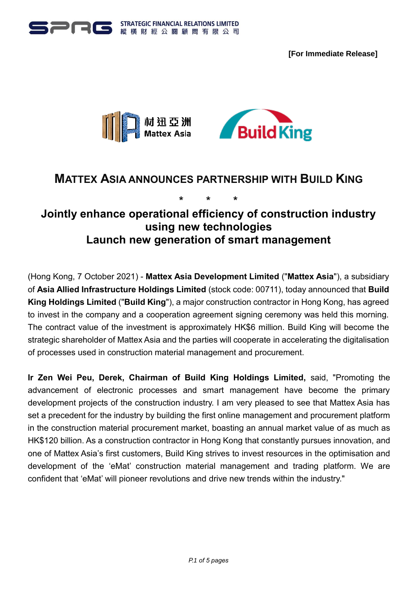







# **MATTEX ASIA ANNOUNCES PARTNERSHIP WITH BUILD KING**

# **\* \* \* Jointly enhance operational efficiency of construction industry using new technologies Launch new generation of smart management**

(Hong Kong, 7 October 2021) - **Mattex Asia Development Limited** ("**Mattex Asia**"), a subsidiary of **Asia Allied Infrastructure Holdings Limited** (stock code: 00711), today announced that **Build King Holdings Limited** ("**Build King**"), a major construction contractor in Hong Kong, has agreed to invest in the company and a cooperation agreement signing ceremony was held this morning. The contract value of the investment is approximately HK\$6 million. Build King will become the strategic shareholder of Mattex Asia and the parties will cooperate in accelerating the digitalisation of processes used in construction material management and procurement.

**Ir Zen Wei Peu, Derek, Chairman of Build King Holdings Limited,** said, "Promoting the advancement of electronic processes and smart management have become the primary development projects of the construction industry. I am very pleased to see that Mattex Asia has set a precedent for the industry by building the first online management and procurement platform in the construction material procurement market, boasting an annual market value of as much as HK\$120 billion. As a construction contractor in Hong Kong that constantly pursues innovation, and one of Mattex Asia's first customers, Build King strives to invest resources in the optimisation and development of the 'eMat' construction material management and trading platform. We are confident that 'eMat' will pioneer revolutions and drive new trends within the industry."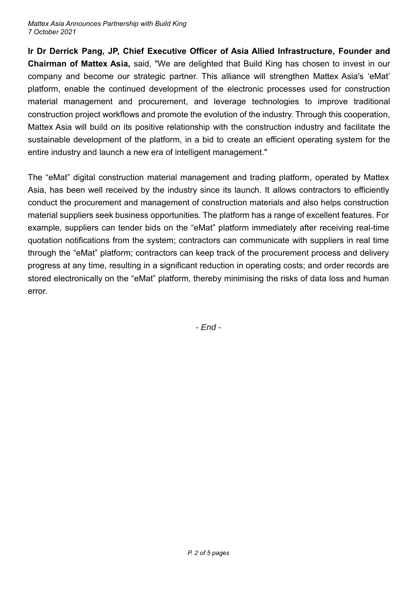**Ir Dr Derrick Pang, JP, Chief Executive Officer of Asia Allied Infrastructure, Founder and Chairman of Mattex Asia,** said, "We are delighted that Build King has chosen to invest in our company and become our strategic partner. This alliance will strengthen Mattex Asia's 'eMat' platform, enable the continued development of the electronic processes used for construction material management and procurement, and leverage technologies to improve traditional construction project workflows and promote the evolution of the industry. Through this cooperation, Mattex Asia will build on its positive relationship with the construction industry and facilitate the sustainable development of the platform, in a bid to create an efficient operating system for the entire industry and launch a new era of intelligent management."

The "eMat" digital construction material management and trading platform, operated by Mattex Asia, has been well received by the industry since its launch. It allows contractors to efficiently conduct the procurement and management of construction materials and also helps construction material suppliers seek business opportunities. The platform has a range of excellent features. For example, suppliers can tender bids on the "eMat" platform immediately after receiving real-time quotation notifications from the system; contractors can communicate with suppliers in real time through the "eMat" platform; contractors can keep track of the procurement process and delivery progress at any time, resulting in a significant reduction in operating costs; and order records are stored electronically on the "eMat" platform, thereby minimising the risks of data loss and human error.

- *End* -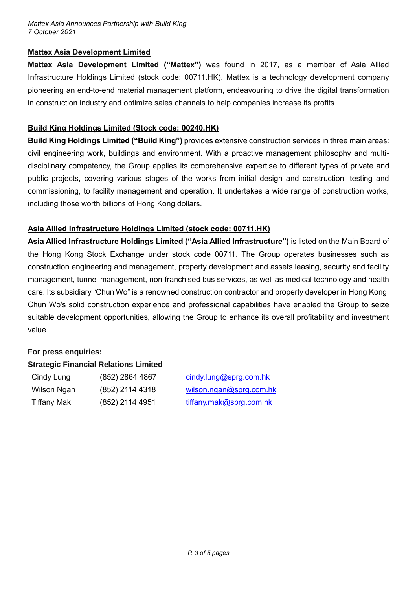#### *Mattex Asia Announces Partnership with Build King 7 October 2021*

### **Mattex Asia Development Limited**

**Mattex Asia Development Limited ("Mattex")** was found in 2017, as a member of Asia Allied Infrastructure Holdings Limited (stock code: 00711.HK). Mattex is a technology development company pioneering an end-to-end material management platform, endeavouring to drive the digital transformation in construction industry and optimize sales channels to help companies increase its profits.

### **Build King Holdings Limited (Stock code: 00240.HK)**

**Build King Holdings Limited ("Build King")** provides extensive construction services in three main areas: civil engineering work, buildings and environment. With a proactive management philosophy and multidisciplinary competency, the Group applies its comprehensive expertise to different types of private and public projects, covering various stages of the works from initial design and construction, testing and commissioning, to facility management and operation. It undertakes a wide range of construction works, including those worth billions of Hong Kong dollars.

# **Asia Allied Infrastructure Holdings Limited (stock code: 00711.HK)**

**Asia Allied Infrastructure Holdings Limited ("Asia Allied Infrastructure")** is listed on the Main Board of the Hong Kong Stock Exchange under stock code 00711. The Group operates businesses such as construction engineering and management, property development and assets leasing, security and facility management, tunnel management, non-franchised bus services, as well as medical technology and health care. Its subsidiary "Chun Wo" is a renowned construction contractor and property developer in Hong Kong. Chun Wo's solid construction experience and professional capabilities have enabled the Group to seize suitable development opportunities, allowing the Group to enhance its overall profitability and investment value.

# **For press enquiries:**

# **Strategic Financial Relations Limited**

| Cindy Lung         | (852) 2864 4867 |
|--------------------|-----------------|
| Wilson Ngan        | (852) 2114 4318 |
| <b>Tiffany Mak</b> | (852) 2114 4951 |

 $cindy.lung@sprg.com.hk$  $wilson.nqan@sprq.com.hk$ [tiffany.mak@sprg.com.hk](mailto:tiffany.mak@sprg.com.hk)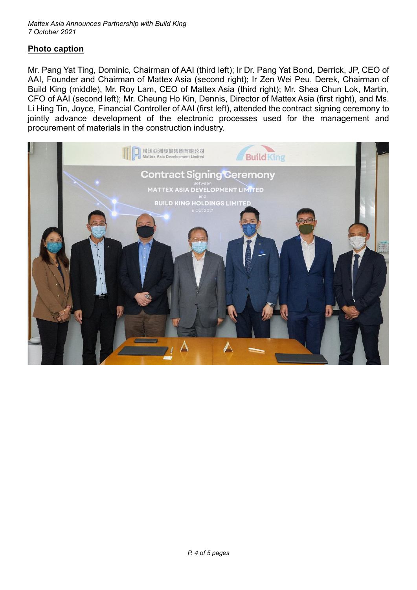# **Photo caption**

Mr. Pang Yat Ting, Dominic, Chairman of AAI (third left); Ir Dr. Pang Yat Bond, Derrick, JP, CEO of AAI, Founder and Chairman of Mattex Asia (second right); Ir Zen Wei Peu, Derek, Chairman of Build King (middle), Mr. Roy Lam, CEO of Mattex Asia (third right); Mr. Shea Chun Lok, Martin, CFO of AAI (second left); Mr. Cheung Ho Kin, Dennis, Director of Mattex Asia (first right), and Ms. Li Hing Tin, Joyce, Financial Controller of AAI (first left), attended the contract signing ceremony to jointly advance development of the electronic processes used for the management and procurement of materials in the construction industry.